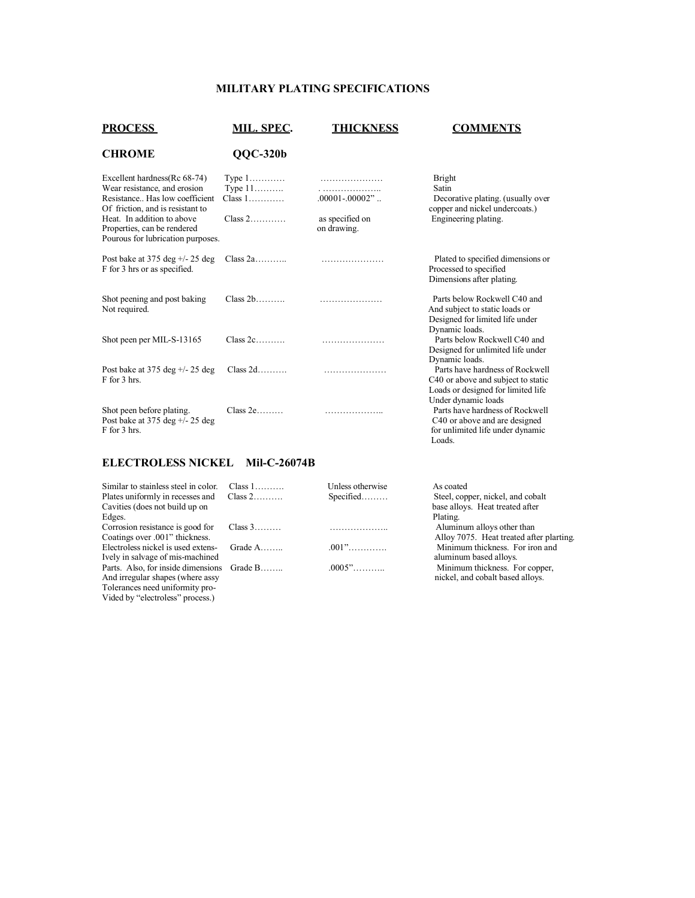## **MILITARY PLATING SPECIFICATIONS**

| <b>PROCESS</b>                                                                                                                     | <b>MIL. SPEC.</b>                                  | <b>THICKNESS</b>               | <b>COMMENTS</b>                                                                                                                    |
|------------------------------------------------------------------------------------------------------------------------------------|----------------------------------------------------|--------------------------------|------------------------------------------------------------------------------------------------------------------------------------|
| <b>CHROME</b>                                                                                                                      | $QQC-320b$                                         |                                |                                                                                                                                    |
| Excellent hardness(Rc 68-74)<br>Wear resistance, and erosion<br>Resistance Has low coefficient<br>Of friction, and is resistant to | Type $1$<br>Type $11$<br>$Class 1, \ldots, \ldots$ | $.00001 - .00002$ "            | <b>Bright</b><br>Satin<br>Decorative plating. (usually over<br>copper and nickel undercoats.)                                      |
| Heat. In addition to above<br>Properties, can be rendered<br>Pourous for lubrication purposes.                                     | $Class 2$                                          | as specified on<br>on drawing. | Engineering plating.                                                                                                               |
| Post bake at 375 deg $+/- 25$ deg<br>F for 3 hrs or as specified.                                                                  | Class 2a                                           |                                | Plated to specified dimensions or<br>Processed to specified<br>Dimensions after plating.                                           |
| Shot peening and post baking<br>Not required.                                                                                      | $Class 2b$                                         |                                | Parts below Rockwell C40 and<br>And subject to static loads or<br>Designed for limited life under<br>Dynamic loads.                |
| Shot peen per MIL-S-13165                                                                                                          | $Class 2c$                                         |                                | Parts below Rockwell C40 and<br>Designed for unlimited life under<br>Dynamic loads.                                                |
| Post bake at 375 deg $+/- 25$ deg<br>F for 3 hrs.                                                                                  | $Class 2d$                                         |                                | Parts have hardness of Rockwell<br>C40 or above and subject to static<br>Loads or designed for limited life<br>Under dynamic loads |
| Shot peen before plating.<br>Post bake at 375 deg $+/- 25$ deg<br>F for 3 hrs.                                                     | $Class 2e$                                         | .                              | Parts have hardness of Rockwell<br>C40 or above and are designed<br>for unlimited life under dynamic                               |

# **ELECTROLESS NICKEL Mil-C-26074B**

Vided by "electroless" process.)

| Similar to stainless steel in color.       | Class $1, \ldots, \ldots$ | Unless otherwise | As coated                                |
|--------------------------------------------|---------------------------|------------------|------------------------------------------|
| Plates uniformly in recesses and           | $Class 2$                 | $Specificed$     | Steel, copper, nickel, and cobalt        |
| Cavities (does not build up on             |                           |                  | base alloys. Heat treated after          |
| Edges.                                     |                           |                  | Plating.                                 |
| Corrosion resistance is good for           | Class $3$                 |                  | Aluminum alloys other than               |
| Coatings over .001" thickness.             |                           |                  | Alloy 7075. Heat treated after plarting. |
| Electroless nickel is used extens-         | Grade $A$                 |                  | Minimum thickness. For iron and          |
| Ively in salvage of mis-machined           |                           |                  | aluminum based alloys.                   |
| Parts. Also, for inside dimensions Grade B |                           | $0.0005$ "       | Minimum thickness. For copper,           |
| And irregular shapes (where assy           |                           |                  | nickel, and cobalt based alloys.         |
| Tolerances need uniformity pro-            |                           |                  |                                          |

Loads.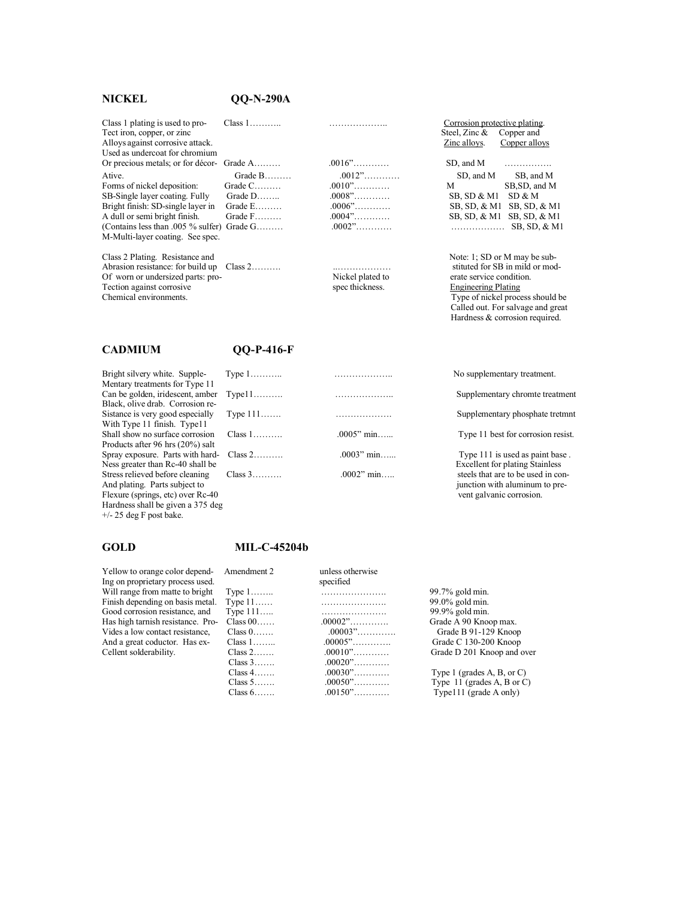### **NICKEL QQ-N-290A**

Class 1 plating is used to pro- Class 1……….. ……………….. Corrosion protective plating. Tect iron, copper, or zinc Alloys against corrosive attack. Used as undercoat for chromium Or precious metals; or for décor- Grade A……… .0016"…………

Forms of nickel deposition: Grade C………<br>SB-Single layer coating. Fully Grade D……… SB-Single layer coating. Fully Grade D…….. .0008"………… SB, SD & M1 SD & M Bright finish: SD-single layer in Grade E……….<br>A dull or semi bright finish. Grade F……… (Contains less than .005 % sulfer) Grade G……… .0002"………… ……………… SB, SD, & M1 M-Multi-layer coating. See spec.

Class 2 Plating. Resistance and Note: 1; SD or M may be sub-Abrasion resistance: for build up Class 2………. ..……………… stituted for SB in mild or mod-Of worn or undersized parts: pro-<br>
Tection against corrosive erate service condition<br>
Spec thickness. Engineering Plating<br>
Engineering Plating Tection against corrosive<br>Chemical environments.

Bright silvery white. Supple-Mentary treatments for Type 11 Can be golden, iridescent, amber Black, olive drab. Corrosion re-Sistance is very good especially With Type 11 finish. Type11 Shall show no surface corrosion Products after 96 hrs (20%) salt Spray exposure. Parts with hard-Ness greater than Rc-40 shall be Stress relieved before cleaning Flexure (springs, etc) over Rc-40 Hardness shall be given a 375 deg +/- 25 deg F post bake.

| Tect iron, copper, or zinc                |           |                               | Steel, Zinc & Copper and |               |
|-------------------------------------------|-----------|-------------------------------|--------------------------|---------------|
| Alloys against corrosive attack.          |           |                               | Zinc alloys.             | Copper alloys |
| Used as undercoat for chromium            |           |                               |                          |               |
| Or precious metals; or for décor- Grade A |           | $.0016$ "                     | SD, and M $\ldots$       |               |
| Ative.                                    | Grade $B$ | $.0012$ "                     | SD, and M                | SB, and M     |
| Forms of nickel deposition:               | Grade $C$ | $.0010$ "                     | M                        | SB, SD, and M |
| SB-Single layer coating. Fully            | Grade $D$ | $.0008$ "                     | $SB, SD & M1$ $SD & M$   |               |
|                                           |           | $\wedge \wedge \wedge \wedge$ |                          |               |

Type of nickel process should be

 $SB, SD, & M1$   $SB, SD, & M1$ 

Called out. For salvage and great Hardness & corrosion required.

### **CADMIUM QQ-P-416-F**

| Bright silvery white. Supple-            | Type $1$                  |               | No supplementary treatment.            |
|------------------------------------------|---------------------------|---------------|----------------------------------------|
| Mentary treatments for Type 11           |                           |               |                                        |
| Can be golden, iridescent, amber         | $Type11$                  |               | Supplementary chromte treatment        |
| Black, olive drab. Corrosion re-         |                           |               |                                        |
| Sistance is very good especially         | Type $111$                |               | Supplementary phosphate tretmnt        |
| With Type 11 finish. Type11              |                           |               |                                        |
| Shall show no surface corrosion          | Class $1, \ldots, \ldots$ | $.0005$ " min | Type 11 best for corrosion resist.     |
| Products after 96 hrs $(20\%)$ salt      |                           |               |                                        |
| Spray exposure. Parts with hard- Class 2 |                           | $.0003"$ min  | Type 111 is used as paint base.        |
| Ness greater than Rc-40 shall be         |                           |               | <b>Excellent for plating Stainless</b> |
| Stress relieved before cleaning          | $Class 3$                 | $.0002$ " min | steels that are to be used in con-     |
| And plating. Parts subject to            |                           |               | junction with aluminum to pre-         |
| Flexure (springs, etc) over Rc-40        |                           |               | vent galvanic corrosion.               |

### **GOLD MIL-C-45204b**

| Yellow to orange color depend-<br>Ing on proprietary process used. | Amendment 2          | unless otherwise<br>specified |                                     |
|--------------------------------------------------------------------|----------------------|-------------------------------|-------------------------------------|
| Will range from matte to bright                                    | Type $1, \ldots, n$  |                               | 99.7% gold min.                     |
| Finish depending on basis metal.                                   | Type $11$            |                               | 99.0% gold min.                     |
| Good corrosion resistance, and                                     | Type $111$           |                               | 99.9% gold min.                     |
| Has high tarnish resistance. Pro-                                  | Class $00$           | $.00002$ "                    | Grade A 90 Knoop max.               |
| Vides a low contact resistance.                                    | Class $0$            | $.00003$ "                    | Grade B 91-129 Knoop                |
| And a great coductor. Has ex-                                      | Class $1, \ldots, n$ | $.00005$ "                    | Grade C 130-200 Knoop               |
| Cellent solderability.                                             | $Class 2$            | $.00010$ "                    | Grade D 201 Knoop and over          |
|                                                                    | Class 3              | $.00020$ "                    |                                     |
|                                                                    | Class $4$            | $.00030$ "                    | Type 1 (grades $A$ , $B$ , or $C$ ) |
|                                                                    | Class 5              | $.00050$ "                    | Type $11$ (grades A, B or C)        |
|                                                                    | Class $6$            | $.00150$ "                    | Type111 (grade A only)              |